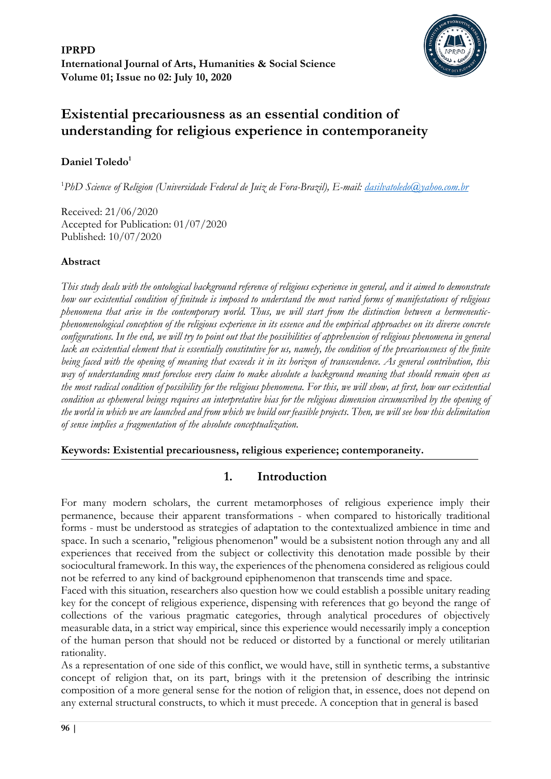

# **Existential precariousness as an essential condition of understanding for religious experience in contemporaneity**

# **Daniel Toledo<sup>1</sup>**

<sup>1</sup>*PhD Science of Religion (Universidade Federal de Juiz de Fora-Brazil), E-mail: [dasilvatoledo@yahoo.com.br](mailto:dasilvatoledo@yahoo.com.br)*

Received: 21/06/2020 Accepted for Publication: 01/07/2020 Published: 10/07/2020

# **Abstract**

*This study deals with the ontological background reference of religious experience in general, and it aimed to demonstrate how our existential condition of finitude is imposed to understand the most varied forms of manifestations of religious phenomena that arise in the contemporary world. Thus, we will start from the distinction between a hermeneuticphenomenological conception of the religious experience in its essence and the empirical approaches on its diverse concrete configurations. In the end, we will try to point out that the possibilities of apprehension of religious phenomena in general* lack an existential element that is essentially constitutive for us, namely, the condition of the precariousness of the finite *being faced with the opening of meaning that exceeds it in its horizon of transcendence. As general contribution, this way of understanding must foreclose every claim to make absolute a background meaning that should remain open as the most radical condition of possibility for the religious phenomena. For this, we will show, at first, how our existential condition as ephemeral beings requires an interpretative bias for the religious dimension circumscribed by the opening of the world in which we are launched and from which we build our feasible projects. Then, we will see how this delimitation of sense implies a fragmentation of the absolute conceptualization.*

**Keywords: Existential precariousness, religious experience; contemporaneity.**

# **1. Introduction**

For many modern scholars, the current metamorphoses of religious experience imply their permanence, because their apparent transformations - when compared to historically traditional forms - must be understood as strategies of adaptation to the contextualized ambience in time and space. In such a scenario, "religious phenomenon" would be a subsistent notion through any and all experiences that received from the subject or collectivity this denotation made possible by their sociocultural framework. In this way, the experiences of the phenomena considered as religious could not be referred to any kind of background epiphenomenon that transcends time and space.

Faced with this situation, researchers also question how we could establish a possible unitary reading key for the concept of religious experience, dispensing with references that go beyond the range of collections of the various pragmatic categories, through analytical procedures of objectively measurable data, in a strict way empirical, since this experience would necessarily imply a conception of the human person that should not be reduced or distorted by a functional or merely utilitarian rationality.

As a representation of one side of this conflict, we would have, still in synthetic terms, a substantive concept of religion that, on its part, brings with it the pretension of describing the intrinsic composition of a more general sense for the notion of religion that, in essence, does not depend on any external structural constructs, to which it must precede. A conception that in general is based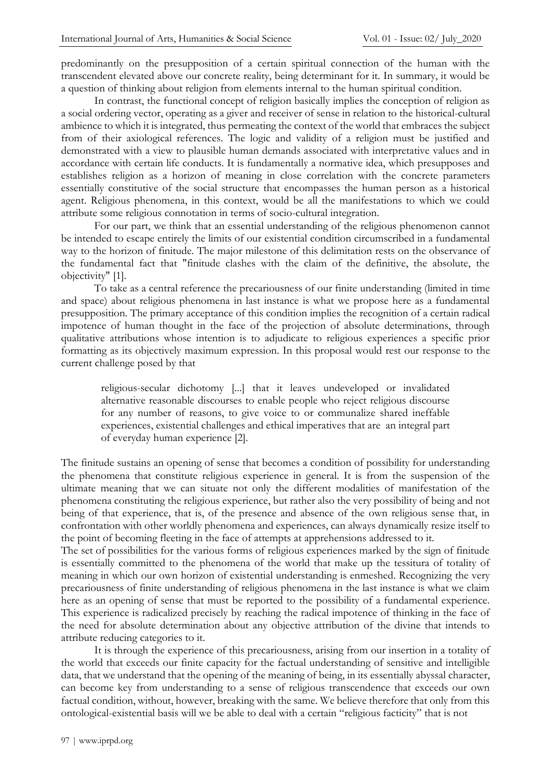predominantly on the presupposition of a certain spiritual connection of the human with the transcendent elevated above our concrete reality, being determinant for it. In summary, it would be a question of thinking about religion from elements internal to the human spiritual condition.

In contrast, the functional concept of religion basically implies the conception of religion as a social ordering vector, operating as a giver and receiver of sense in relation to the historical-cultural ambience to which it is integrated, thus permeating the context of the world that embraces the subject from of their axiological references. The logic and validity of a religion must be justified and demonstrated with a view to plausible human demands associated with interpretative values and in accordance with certain life conducts. It is fundamentally a normative idea, which presupposes and establishes religion as a horizon of meaning in close correlation with the concrete parameters essentially constitutive of the social structure that encompasses the human person as a historical agent. Religious phenomena, in this context, would be all the manifestations to which we could attribute some religious connotation in terms of socio-cultural integration.

For our part, we think that an essential understanding of the religious phenomenon cannot be intended to escape entirely the limits of our existential condition circumscribed in a fundamental way to the horizon of finitude. The major milestone of this delimitation rests on the observance of the fundamental fact that "finitude clashes with the claim of the definitive, the absolute, the objectivity" [1].

To take as a central reference the precariousness of our finite understanding (limited in time and space) about religious phenomena in last instance is what we propose here as a fundamental presupposition. The primary acceptance of this condition implies the recognition of a certain radical impotence of human thought in the face of the projection of absolute determinations, through qualitative attributions whose intention is to adjudicate to religious experiences a specific prior formatting as its objectively maximum expression. In this proposal would rest our response to the current challenge posed by that

religious-secular dichotomy [...] that it leaves undeveloped or invalidated alternative reasonable discourses to enable people who reject religious discourse for any number of reasons, to give voice to or communalize shared ineffable experiences, existential challenges and ethical imperatives that are an integral part of everyday human experience [2].

The finitude sustains an opening of sense that becomes a condition of possibility for understanding the phenomena that constitute religious experience in general. It is from the suspension of the ultimate meaning that we can situate not only the different modalities of manifestation of the phenomena constituting the religious experience, but rather also the very possibility of being and not being of that experience, that is, of the presence and absence of the own religious sense that, in confrontation with other worldly phenomena and experiences, can always dynamically resize itself to the point of becoming fleeting in the face of attempts at apprehensions addressed to it.

The set of possibilities for the various forms of religious experiences marked by the sign of finitude is essentially committed to the phenomena of the world that make up the tessitura of totality of meaning in which our own horizon of existential understanding is enmeshed. Recognizing the very precariousness of finite understanding of religious phenomena in the last instance is what we claim here as an opening of sense that must be reported to the possibility of a fundamental experience. This experience is radicalized precisely by reaching the radical impotence of thinking in the face of the need for absolute determination about any objective attribution of the divine that intends to attribute reducing categories to it.

It is through the experience of this precariousness, arising from our insertion in a totality of the world that exceeds our finite capacity for the factual understanding of sensitive and intelligible data, that we understand that the opening of the meaning of being, in its essentially abyssal character, can become key from understanding to a sense of religious transcendence that exceeds our own factual condition, without, however, breaking with the same. We believe therefore that only from this ontological-existential basis will we be able to deal with a certain "religious facticity" that is not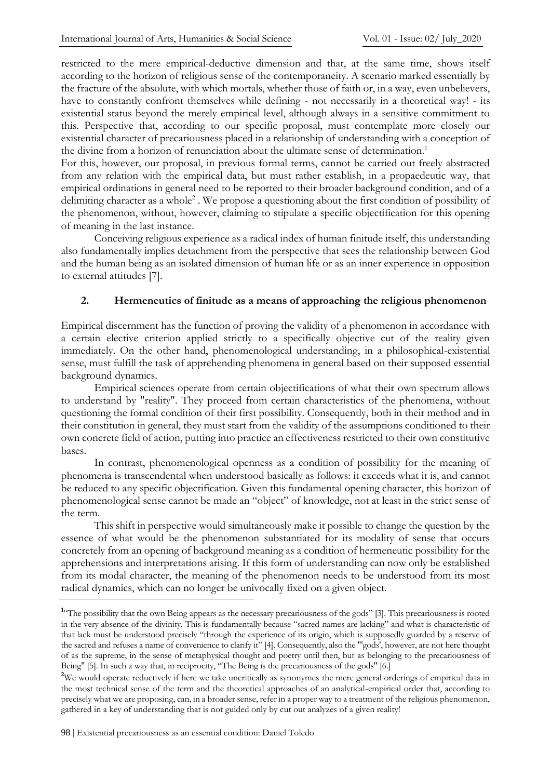restricted to the mere empirical-deductive dimension and that, at the same time, shows itself according to the horizon of religious sense of the contemporaneity. A scenario marked essentially by the fracture of the absolute, with which mortals, whether those of faith or, in a way, even unbelievers, have to constantly confront themselves while defining - not necessarily in a theoretical way! - its existential status beyond the merely empirical level, although always in a sensitive commitment to this. Perspective that, according to our specific proposal, must contemplate more closely our existential character of precariousness placed in a relationship of understanding with a conception of the divine from a horizon of renunciation about the ultimate sense of determination.<sup>1</sup>

For this, however, our proposal, in previous formal terms, cannot be carried out freely abstracted from any relation with the empirical data, but must rather establish, in a propaedeutic way, that empirical ordinations in general need to be reported to their broader background condition, and of a delimiting character as a whole<sup>2</sup>. We propose a questioning about the first condition of possibility of the phenomenon, without, however, claiming to stipulate a specific objectification for this opening of meaning in the last instance.

Conceiving religious experience as a radical index of human finitude itself, this understanding also fundamentally implies detachment from the perspective that sees the relationship between God and the human being as an isolated dimension of human life or as an inner experience in opposition to external attitudes [7].

#### **2. Hermeneutics of finitude as a means of approaching the religious phenomenon**

Empirical discernment has the function of proving the validity of a phenomenon in accordance with a certain elective criterion applied strictly to a specifically objective cut of the reality given immediately. On the other hand, phenomenological understanding, in a philosophical-existential sense, must fulfill the task of apprehending phenomena in general based on their supposed essential background dynamics.

Empirical sciences operate from certain objectifications of what their own spectrum allows to understand by "reality". They proceed from certain characteristics of the phenomena, without questioning the formal condition of their first possibility. Consequently, both in their method and in their constitution in general, they must start from the validity of the assumptions conditioned to their own concrete field of action, putting into practice an effectiveness restricted to their own constitutive bases.

In contrast, phenomenological openness as a condition of possibility for the meaning of phenomena is transcendental when understood basically as follows: it exceeds what it is, and cannot be reduced to any specific objectification. Given this fundamental opening character, this horizon of phenomenological sense cannot be made an "object" of knowledge, not at least in the strict sense of the term.

This shift in perspective would simultaneously make it possible to change the question by the essence of what would be the phenomenon substantiated for its modality of sense that occurs concretely from an opening of background meaning as a condition of hermeneutic possibility for the apprehensions and interpretations arising. If this form of understanding can now only be established from its modal character, the meaning of the phenomenon needs to be understood from its most radical dynamics, which can no longer be univocally fixed on a given object.

<sup>&</sup>lt;sup>1</sup><sup>c</sup>The possibility that the own Being appears as the necessary precariousness of the gods" [3]. This precariousness is rooted in the very absence of the divinity. This is fundamentally because "sacred names are lacking" and what is characteristic of that lack must be understood precisely "through the experience of its origin, which is supposedly guarded by a reserve of the sacred and refuses a name of convenience to clarify it" [4]. Consequently, also the "'gods', however, are not here thought of as the supreme, in the sense of metaphysical thought and poetry until then, but as belonging to the precariousness of Being" [5]. In such a way that, in reciprocity, "The Being is the precariousness of the gods" [6.]

<sup>&</sup>lt;sup>2</sup>We would operate reductively if here we take uncritically as synonymes the mere general orderings of empirical data in the most technical sense of the term and the theoretical approaches of an analytical-empirical order that, according to precisely what we are proposing, can, in a broader sense, refer in a proper way to a treatment of the religious phenomenon, gathered in a key of understanding that is not guided only by cut out analyzes of a given reality!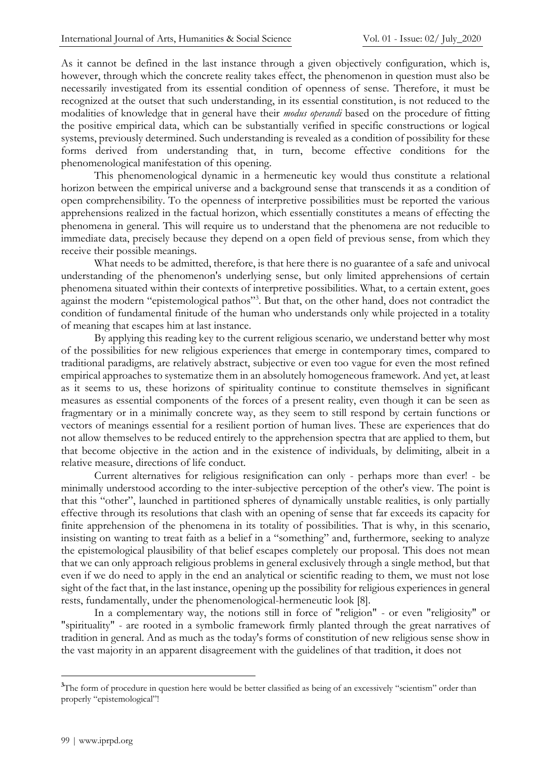As it cannot be defined in the last instance through a given objectively configuration, which is, however, through which the concrete reality takes effect, the phenomenon in question must also be necessarily investigated from its essential condition of openness of sense. Therefore, it must be recognized at the outset that such understanding, in its essential constitution, is not reduced to the modalities of knowledge that in general have their *modus operandi* based on the procedure of fitting the positive empirical data, which can be substantially verified in specific constructions or logical systems, previously determined. Such understanding is revealed as a condition of possibility for these forms derived from understanding that, in turn, become effective conditions for the phenomenological manifestation of this opening.

This phenomenological dynamic in a hermeneutic key would thus constitute a relational horizon between the empirical universe and a background sense that transcends it as a condition of open comprehensibility. To the openness of interpretive possibilities must be reported the various apprehensions realized in the factual horizon, which essentially constitutes a means of effecting the phenomena in general. This will require us to understand that the phenomena are not reducible to immediate data, precisely because they depend on a open field of previous sense, from which they receive their possible meanings.

What needs to be admitted, therefore, is that here there is no guarantee of a safe and univocal understanding of the phenomenon's underlying sense, but only limited apprehensions of certain phenomena situated within their contexts of interpretive possibilities. What, to a certain extent, goes against the modern "epistemological pathos"<sup>3</sup>. But that, on the other hand, does not contradict the condition of fundamental finitude of the human who understands only while projected in a totality of meaning that escapes him at last instance.

By applying this reading key to the current religious scenario, we understand better why most of the possibilities for new religious experiences that emerge in contemporary times, compared to traditional paradigms, are relatively abstract, subjective or even too vague for even the most refined empirical approaches to systematize them in an absolutely homogeneous framework. And yet, at least as it seems to us, these horizons of spirituality continue to constitute themselves in significant measures as essential components of the forces of a present reality, even though it can be seen as fragmentary or in a minimally concrete way, as they seem to still respond by certain functions or vectors of meanings essential for a resilient portion of human lives. These are experiences that do not allow themselves to be reduced entirely to the apprehension spectra that are applied to them, but that become objective in the action and in the existence of individuals, by delimiting, albeit in a relative measure, directions of life conduct.

Current alternatives for religious resignification can only - perhaps more than ever! - be minimally understood according to the inter-subjective perception of the other's view. The point is that this "other", launched in partitioned spheres of dynamically unstable realities, is only partially effective through its resolutions that clash with an opening of sense that far exceeds its capacity for finite apprehension of the phenomena in its totality of possibilities. That is why, in this scenario, insisting on wanting to treat faith as a belief in a "something" and, furthermore, seeking to analyze the epistemological plausibility of that belief escapes completely our proposal. This does not mean that we can only approach religious problems in general exclusively through a single method, but that even if we do need to apply in the end an analytical or scientific reading to them, we must not lose sight of the fact that, in the last instance, opening up the possibility for religious experiences in general rests, fundamentally, under the phenomenological-hermeneutic look [8].

In a complementary way, the notions still in force of "religion" - or even "religiosity" or "spirituality" - are rooted in a symbolic framework firmly planted through the great narratives of tradition in general. And as much as the today's forms of constitution of new religious sense show in the vast majority in an apparent disagreement with the guidelines of that tradition, it does not

<sup>&</sup>lt;sup>3</sup>The form of procedure in question here would be better classified as being of an excessively "scientism" order than properly "epistemological"!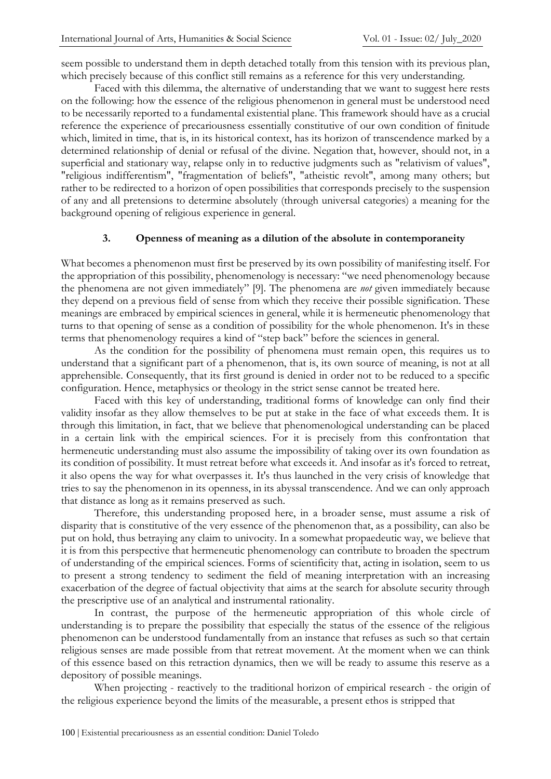seem possible to understand them in depth detached totally from this tension with its previous plan, which precisely because of this conflict still remains as a reference for this very understanding.

Faced with this dilemma, the alternative of understanding that we want to suggest here rests on the following: how the essence of the religious phenomenon in general must be understood need to be necessarily reported to a fundamental existential plane. This framework should have as a crucial reference the experience of precariousness essentially constitutive of our own condition of finitude which, limited in time, that is, in its historical context, has its horizon of transcendence marked by a determined relationship of denial or refusal of the divine. Negation that, however, should not, in a superficial and stationary way, relapse only in to reductive judgments such as "relativism of values", "religious indifferentism", "fragmentation of beliefs", "atheistic revolt", among many others; but rather to be redirected to a horizon of open possibilities that corresponds precisely to the suspension of any and all pretensions to determine absolutely (through universal categories) a meaning for the background opening of religious experience in general.

#### **3. Openness of meaning as a dilution of the absolute in contemporaneity**

What becomes a phenomenon must first be preserved by its own possibility of manifesting itself. For the appropriation of this possibility, phenomenology is necessary: "we need phenomenology because the phenomena are not given immediately" [9]. The phenomena are *not* given immediately because they depend on a previous field of sense from which they receive their possible signification. These meanings are embraced by empirical sciences in general, while it is hermeneutic phenomenology that turns to that opening of sense as a condition of possibility for the whole phenomenon. It's in these terms that phenomenology requires a kind of "step back" before the sciences in general.

As the condition for the possibility of phenomena must remain open, this requires us to understand that a significant part of a phenomenon, that is, its own source of meaning, is not at all apprehensible. Consequently, that its first ground is denied in order not to be reduced to a specific configuration. Hence, metaphysics or theology in the strict sense cannot be treated here.

Faced with this key of understanding, traditional forms of knowledge can only find their validity insofar as they allow themselves to be put at stake in the face of what exceeds them. It is through this limitation, in fact, that we believe that phenomenological understanding can be placed in a certain link with the empirical sciences. For it is precisely from this confrontation that hermeneutic understanding must also assume the impossibility of taking over its own foundation as its condition of possibility. It must retreat before what exceeds it. And insofar as it's forced to retreat, it also opens the way for what overpasses it. It's thus launched in the very crisis of knowledge that tries to say the phenomenon in its openness, in its abyssal transcendence. And we can only approach that distance as long as it remains preserved as such.

Therefore, this understanding proposed here, in a broader sense, must assume a risk of disparity that is constitutive of the very essence of the phenomenon that, as a possibility, can also be put on hold, thus betraying any claim to univocity. In a somewhat propaedeutic way, we believe that it is from this perspective that hermeneutic phenomenology can contribute to broaden the spectrum of understanding of the empirical sciences. Forms of scientificity that, acting in isolation, seem to us to present a strong tendency to sediment the field of meaning interpretation with an increasing exacerbation of the degree of factual objectivity that aims at the search for absolute security through the prescriptive use of an analytical and instrumental rationality.

In contrast, the purpose of the hermeneutic appropriation of this whole circle of understanding is to prepare the possibility that especially the status of the essence of the religious phenomenon can be understood fundamentally from an instance that refuses as such so that certain religious senses are made possible from that retreat movement. At the moment when we can think of this essence based on this retraction dynamics, then we will be ready to assume this reserve as a depository of possible meanings.

When projecting - reactively to the traditional horizon of empirical research - the origin of the religious experience beyond the limits of the measurable, a present ethos is stripped that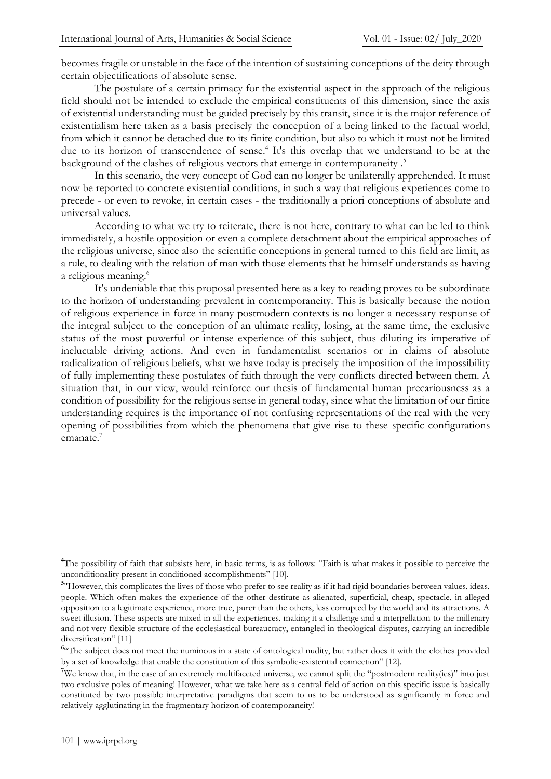becomes fragile or unstable in the face of the intention of sustaining conceptions of the deity through certain objectifications of absolute sense.

The postulate of a certain primacy for the existential aspect in the approach of the religious field should not be intended to exclude the empirical constituents of this dimension, since the axis of existential understanding must be guided precisely by this transit, since it is the major reference of existentialism here taken as a basis precisely the conception of a being linked to the factual world, from which it cannot be detached due to its finite condition, but also to which it must not be limited due to its horizon of transcendence of sense. 4 It's this overlap that we understand to be at the background of the clashes of religious vectors that emerge in contemporaneity .<sup>5</sup>

In this scenario, the very concept of God can no longer be unilaterally apprehended. It must now be reported to concrete existential conditions, in such a way that religious experiences come to precede - or even to revoke, in certain cases - the traditionally a priori conceptions of absolute and universal values.

According to what we try to reiterate, there is not here, contrary to what can be led to think immediately, a hostile opposition or even a complete detachment about the empirical approaches of the religious universe, since also the scientific conceptions in general turned to this field are limit, as a rule, to dealing with the relation of man with those elements that he himself understands as having a religious meaning. 6

It's undeniable that this proposal presented here as a key to reading proves to be subordinate to the horizon of understanding prevalent in contemporaneity. This is basically because the notion of religious experience in force in many postmodern contexts is no longer a necessary response of the integral subject to the conception of an ultimate reality, losing, at the same time, the exclusive status of the most powerful or intense experience of this subject, thus diluting its imperative of ineluctable driving actions. And even in fundamentalist scenarios or in claims of absolute radicalization of religious beliefs, what we have today is precisely the imposition of the impossibility of fully implementing these postulates of faith through the very conflicts directed between them. A situation that, in our view, would reinforce our thesis of fundamental human precariousness as a condition of possibility for the religious sense in general today, since what the limitation of our finite understanding requires is the importance of not confusing representations of the real with the very opening of possibilities from which the phenomena that give rise to these specific configurations emanate.<sup>7</sup>

<sup>&</sup>lt;sup>4</sup>The possibility of faith that subsists here, in basic terms, is as follows: "Faith is what makes it possible to perceive the unconditionality present in conditioned accomplishments" [10].

<sup>&</sup>lt;sup>5</sup>"However, this complicates the lives of those who prefer to see reality as if it had rigid boundaries between values, ideas, people. Which often makes the experience of the other destitute as alienated, superficial, cheap, spectacle, in alleged opposition to a legitimate experience, more true, purer than the others, less corrupted by the world and its attractions. A sweet illusion. These aspects are mixed in all the experiences, making it a challenge and a interpellation to the millenary and not very flexible structure of the ecclesiastical bureaucracy, entangled in theological disputes, carrying an incredible diversification" [11]

<sup>&</sup>lt;sup>6</sup><sup>6</sup> The subject does not meet the numinous in a state of ontological nudity, but rather does it with the clothes provided by a set of knowledge that enable the constitution of this symbolic-existential connection" [12].

<sup>&</sup>lt;sup>7</sup>We know that, in the case of an extremely multifaceted universe, we cannot split the "postmodern reality(ies)" into just two exclusive poles of meaning! However, what we take here as a central field of action on this specific issue is basically constituted by two possible interpretative paradigms that seem to us to be understood as significantly in force and relatively agglutinating in the fragmentary horizon of contemporaneity!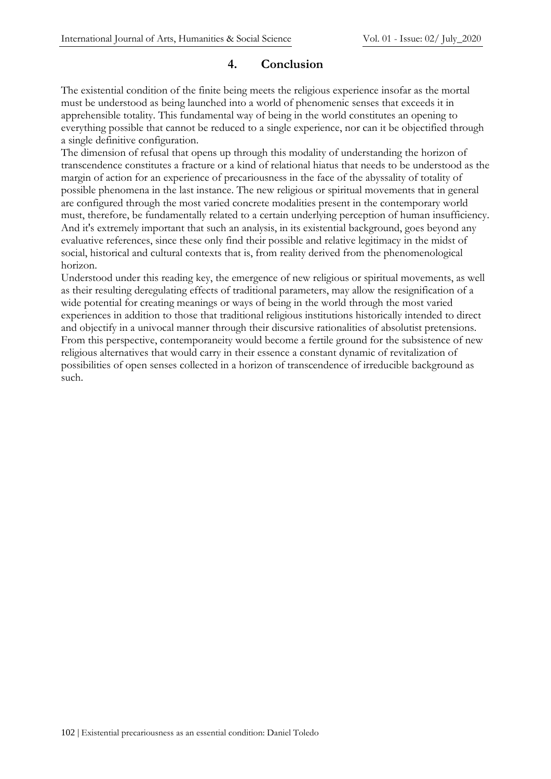### **4. Conclusion**

The existential condition of the finite being meets the religious experience insofar as the mortal must be understood as being launched into a world of phenomenic senses that exceeds it in apprehensible totality. This fundamental way of being in the world constitutes an opening to everything possible that cannot be reduced to a single experience, nor can it be objectified through a single definitive configuration.

The dimension of refusal that opens up through this modality of understanding the horizon of transcendence constitutes a fracture or a kind of relational hiatus that needs to be understood as the margin of action for an experience of precariousness in the face of the abyssality of totality of possible phenomena in the last instance. The new religious or spiritual movements that in general are configured through the most varied concrete modalities present in the contemporary world must, therefore, be fundamentally related to a certain underlying perception of human insufficiency. And it's extremely important that such an analysis, in its existential background, goes beyond any evaluative references, since these only find their possible and relative legitimacy in the midst of social, historical and cultural contexts that is, from reality derived from the phenomenological horizon.

Understood under this reading key, the emergence of new religious or spiritual movements, as well as their resulting deregulating effects of traditional parameters, may allow the resignification of a wide potential for creating meanings or ways of being in the world through the most varied experiences in addition to those that traditional religious institutions historically intended to direct and objectify in a univocal manner through their discursive rationalities of absolutist pretensions. From this perspective, contemporaneity would become a fertile ground for the subsistence of new religious alternatives that would carry in their essence a constant dynamic of revitalization of possibilities of open senses collected in a horizon of transcendence of irreducible background as such.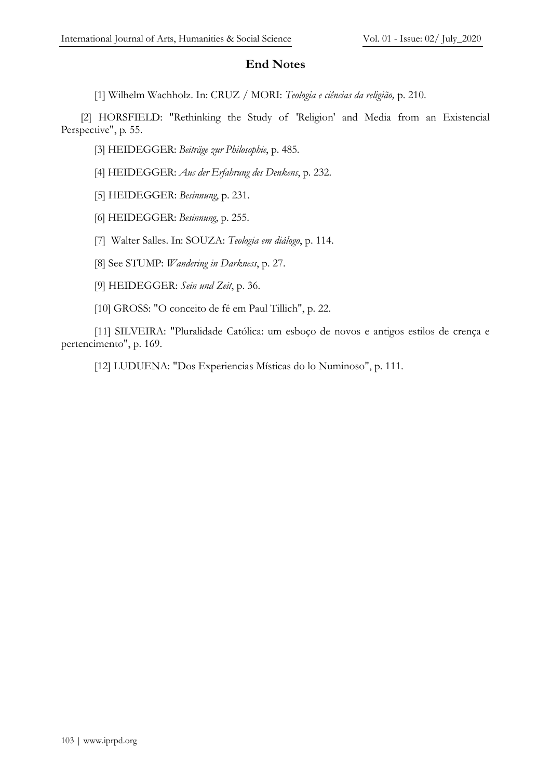# **End Notes**

[1] Wilhelm Wachholz. In: CRUZ / MORI: *Teologia e ciências da religião,* p. 210.

[2] HORSFIELD: "Rethinking the Study of 'Religion' and Media from an Existencial Perspective", p. 55.

[3] HEIDEGGER: *Beiträge zur Philosophie*, p. 485.

[4] HEIDEGGER: *Aus der Erfahrung des Denkens*, p. 232.

[5] HEIDEGGER: *Besinnung*, p. 231.

[6] HEIDEGGER: *Besinnung*, p. 255.

[7] Walter Salles. In: SOUZA: *Teologia em diálogo*, p. 114.

[8] See STUMP: *Wandering in Darkness*, p. 27.

[9] HEIDEGGER: *Sein und Zeit*, p. 36.

[10] GROSS: "O conceito de fé em Paul Tillich", p. 22.

[11] SILVEIRA: "Pluralidade Católica: um esboço de novos e antigos estilos de crença e pertencimento", p. 169.

[12] LUDUENA: "Dos Experiencias Místicas do lo Numinoso", p. 111.